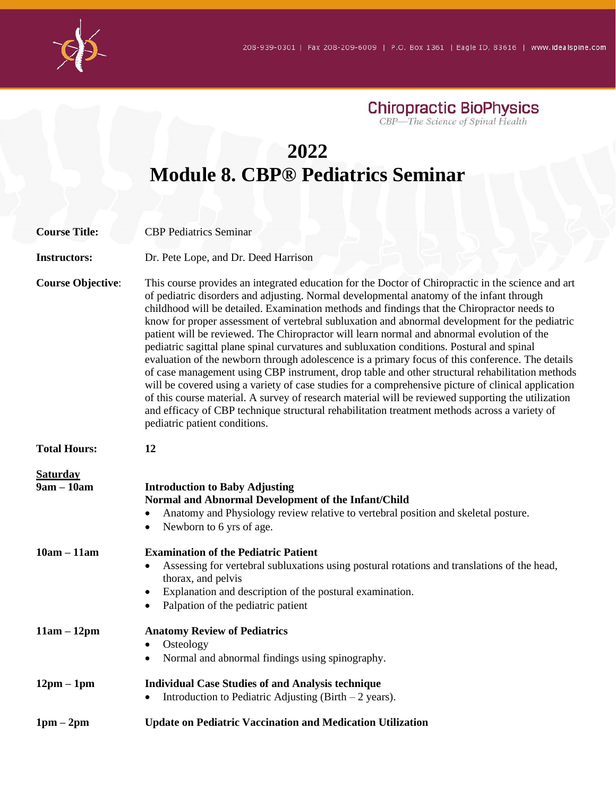

**Chiropractic BioPhysics**<br>CBP—The Science of Spinal Health

## **2022 Module 8. CBP® Pediatrics Seminar**

| <b>Course Title:</b>            | <b>CBP</b> Pediatrics Seminar                                                                                                                                                                                                                                                                                                                                                                                                                                                                                                                                                                                                                                                                                                                                                                                                                                                                                                                                                                                                                                                                                                                     |
|---------------------------------|---------------------------------------------------------------------------------------------------------------------------------------------------------------------------------------------------------------------------------------------------------------------------------------------------------------------------------------------------------------------------------------------------------------------------------------------------------------------------------------------------------------------------------------------------------------------------------------------------------------------------------------------------------------------------------------------------------------------------------------------------------------------------------------------------------------------------------------------------------------------------------------------------------------------------------------------------------------------------------------------------------------------------------------------------------------------------------------------------------------------------------------------------|
| <b>Instructors:</b>             | Dr. Pete Lope, and Dr. Deed Harrison                                                                                                                                                                                                                                                                                                                                                                                                                                                                                                                                                                                                                                                                                                                                                                                                                                                                                                                                                                                                                                                                                                              |
| <b>Course Objective:</b>        | This course provides an integrated education for the Doctor of Chiropractic in the science and art<br>of pediatric disorders and adjusting. Normal developmental anatomy of the infant through<br>childhood will be detailed. Examination methods and findings that the Chiropractor needs to<br>know for proper assessment of vertebral subluxation and abnormal development for the pediatric<br>patient will be reviewed. The Chiropractor will learn normal and abnormal evolution of the<br>pediatric sagittal plane spinal curvatures and subluxation conditions. Postural and spinal<br>evaluation of the newborn through adolescence is a primary focus of this conference. The details<br>of case management using CBP instrument, drop table and other structural rehabilitation methods<br>will be covered using a variety of case studies for a comprehensive picture of clinical application<br>of this course material. A survey of research material will be reviewed supporting the utilization<br>and efficacy of CBP technique structural rehabilitation treatment methods across a variety of<br>pediatric patient conditions. |
| <b>Total Hours:</b>             | 12                                                                                                                                                                                                                                                                                                                                                                                                                                                                                                                                                                                                                                                                                                                                                                                                                                                                                                                                                                                                                                                                                                                                                |
| <b>Saturday</b><br>$9am - 10am$ | <b>Introduction to Baby Adjusting</b><br>Normal and Abnormal Development of the Infant/Child<br>Anatomy and Physiology review relative to vertebral position and skeletal posture.<br>Newborn to 6 yrs of age.                                                                                                                                                                                                                                                                                                                                                                                                                                                                                                                                                                                                                                                                                                                                                                                                                                                                                                                                    |
| $10am - 11am$                   | <b>Examination of the Pediatric Patient</b><br>Assessing for vertebral subluxations using postural rotations and translations of the head,<br>thorax, and pelvis<br>Explanation and description of the postural examination.<br>٠<br>Palpation of the pediatric patient<br>$\bullet$                                                                                                                                                                                                                                                                                                                                                                                                                                                                                                                                                                                                                                                                                                                                                                                                                                                              |
| $11am - 12pm$                   | <b>Anatomy Review of Pediatrics</b><br>Osteology<br>$\bullet$<br>Normal and abnormal findings using spinography.<br>$\bullet$                                                                                                                                                                                                                                                                                                                                                                                                                                                                                                                                                                                                                                                                                                                                                                                                                                                                                                                                                                                                                     |
| $12pm - 1pm$                    | <b>Individual Case Studies of and Analysis technique</b><br>Introduction to Pediatric Adjusting (Birth $-2$ years).<br>$\bullet$                                                                                                                                                                                                                                                                                                                                                                                                                                                                                                                                                                                                                                                                                                                                                                                                                                                                                                                                                                                                                  |
| $1pm-2pm$                       | <b>Update on Pediatric Vaccination and Medication Utilization</b>                                                                                                                                                                                                                                                                                                                                                                                                                                                                                                                                                                                                                                                                                                                                                                                                                                                                                                                                                                                                                                                                                 |